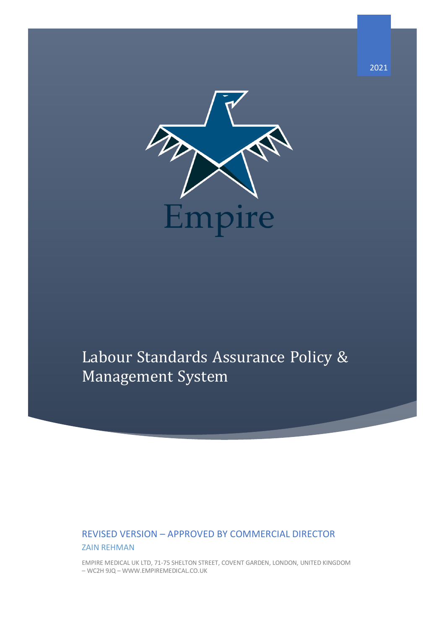

# Labour Standards Assurance Policy & Management System

# REVISED VERSION – APPROVED BY COMMERCIAL DIRECTOR ZAIN REHMAN

EMPIRE MEDICAL UK LTD, 71-75 SHELTON STREET, COVENT GARDEN, LONDON, UNITED KINGDOM – WC2H 9JQ – WWW.EMPIREMEDICAL.CO.UK

2021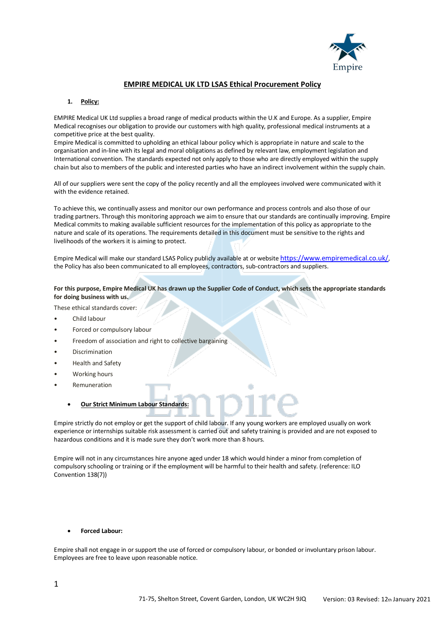

## **EMPIRE MEDICAL UK LTD LSAS Ethical Procurement Policy**

#### **1. Policy:**

EMPIRE Medical UK Ltd supplies a broad range of medical products within the U.K and Europe. As a supplier, Empire Medical recognises our obligation to provide our customers with high quality, professional medical instruments at a competitive price at the best quality.

Empire Medical is committed to upholding an ethical labour policy which is appropriate in nature and scale to the organisation and in-line with its legal and moral obligations as defined by relevant law, employment legislation and International convention. The standards expected not only apply to those who are directly employed within the supply chain but also to members of the public and interested parties who have an indirect involvement within the supply chain.

All of our suppliers were sent the copy of the policy recently and all the employees involved were communicated with it with the evidence retained.

To achieve this, we continually assess and monitor our own performance and process controls and also those of our trading partners. Through this monitoring approach we aim to ensure that our standards are continually improving. Empire Medical commits to making available sufficient resources for the implementation of this policy as appropriate to the nature and scale of its operations. The requirements detailed in this document must be sensitive to the rights and livelihoods of the workers it is aiming to protect.

Empire Medical will make our standard LSAS Policy publicly available at or website https://www.empiremedical.co.uk/, the Policy has also been communicated to all employees, contractors, sub-contractors and suppliers.

#### **For this purpose, Empire Medical UK has drawn up the Supplier Code of Conduct, which sets the appropriate standards for doing business with us.**

These ethical standards cover:

- Child labour
- Forced or compulsory labour
- Freedom of association and right to collective bargaining
- **Discrimination**
- Health and Safety
- Working hours
- **Remuneration** 
	- **Our Strict Minimum Labour Standards:**

Empire strictly do not employ or get the support of child labour. If any young workers are employed usually on work experience or internships suitable risk assessment is carried out and safety training is provided and are not exposed to hazardous conditions and it is made sure they don't work more than 8 hours.

Empire will not in any circumstances hire anyone aged under 18 which would hinder a minor from completion of compulsory schooling or training or if the employment will be harmful to their health and safety. (reference: ILO Convention 138(7))

#### • **Forced Labour:**

Empire shall not engage in or support the use of forced or compulsory labour, or bonded or involuntary prison labour. Employees are free to leave upon reasonable notice.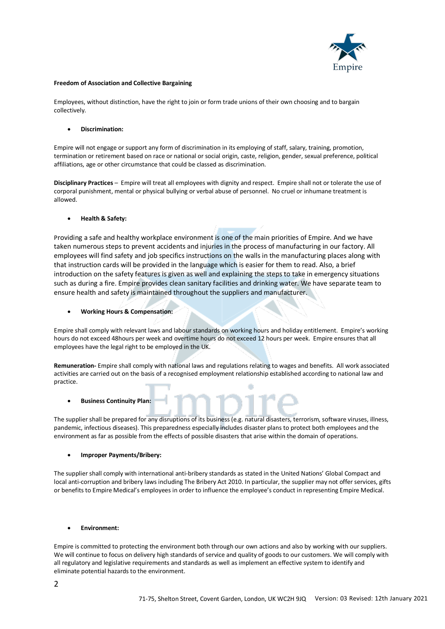

#### **Freedom of Association and Collective Bargaining**

Employees, without distinction, have the right to join or form trade unions of their own choosing and to bargain collectively.

#### • **Discrimination:**

Empire will not engage or support any form of discrimination in its employing of staff, salary, training, promotion, termination or retirement based on race or national or social origin, caste, religion, gender, sexual preference, political affiliations, age or other circumstance that could be classed as discrimination.

**Disciplinary Practices** – Empire will treat all employees with dignity and respect. Empire shall not or tolerate the use of corporal punishment, mental or physical bullying or verbal abuse of personnel. No cruel or inhumane treatment is allowed.

#### • **Health & Safety:**

Providing a safe and healthy workplace environment is one of the main priorities of Empire. And we have taken numerous steps to prevent accidents and injuries in the process of manufacturing in our factory. All employees will find safety and job specifics instructions on the walls in the manufacturing places along with that instruction cards will be provided in the language which is easier for them to read. Also, a brief introduction on the safety features is given as well and explaining the steps to take in emergency situations such as during a fire. Empire provides clean sanitary facilities and drinking water. We have separate team to ensure health and safety is maintained throughout the suppliers and manufacturer.

#### • **Working Hours & Compensation:**

Empire shall comply with relevant laws and labour standards on working hours and holiday entitlement. Empire's working hours do not exceed 48hours per week and overtime hours do not exceed 12 hours per week. Empire ensures that all employees have the legal right to be employed in the UK.

**Remuneration-** Empire shall comply with national laws and regulations relating to wages and benefits. All work associated activities are carried out on the basis of a recognised employment relationship established according to national law and practice.

#### • **Business Continuity Plan:**

The supplier shall be prepared for any disruptions of its business (e.g. natural disasters, terrorism, software viruses, illness, pandemic, infectious diseases). This preparedness especially includes disaster plans to protect both employees and the environment as far as possible from the effects of possible disasters that arise within the domain of operations.

#### • **Improper Payments/Bribery:**

The supplier shall comply with international anti-bribery standards as stated in the United Nations' Global Compact and local anti-corruption and bribery laws including The Bribery Act 2010. In particular, the supplier may not offer services, gifts or benefits to Empire Medical's employees in order to influence the employee's conduct in representing Empire Medical.

#### • **Environment:**

Empire is committed to protecting the environment both through our own actions and also by working with our suppliers. We will continue to focus on delivery high standards of service and quality of goods to our customers. We will comply with all regulatory and legislative requirements and standards as well as implement an effective system to identify and eliminate potential hazards to the environment.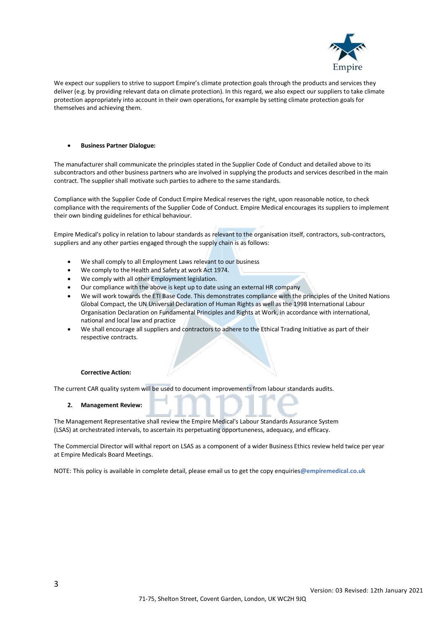

We expect our suppliers to strive to support Empire's climate protection goals through the products and services they deliver (e.g. by providing relevant data on climate protection). In this regard, we also expect our suppliers to take climate protection appropriately into account in their own operations, for example by setting climate protection goals for themselves and achieving them.

#### • **Business Partner Dialogue:**

The manufacturer shall communicate the principles stated in the Supplier Code of Conduct and detailed above to its subcontractors and other business partners who are involved in supplying the products and services described in the main contract. The supplier shall motivate such parties to adhere to the same standards.

Compliance with the Supplier Code of Conduct Empire Medical reserves the right, upon reasonable notice, to check compliance with the requirements of the Supplier Code of Conduct. Empire Medical encourages its suppliers to implement their own binding guidelines for ethical behaviour.

Empire Medical's policy in relation to labour standards as relevant to the organisation itself, contractors, sub-contractors, suppliers and any other parties engaged through the supply chain is as follows:

- We shall comply to all Employment Laws relevant to our business
- We comply to the Health and Safety at work Act 1974.
- We comply with all other Employment legislation.
- Our compliance with the above is kept up to date using an external HR company
- We will work towards the ETI Base Code. This demonstrates compliance with the principles of the United Nations Global Compact, the UN Universal Declaration of Human Rights as well as the 1998 International Labour Organisation Declaration on Fundamental Principles and Rights at Work, in accordance with international, national and local law and practice
- We shall encourage all suppliers and contractors to adhere to the Ethical Trading Initiative as part of their respective contracts.

#### **Corrective Action:**

The current CAR quality system will be used to document improvements from labour standards audits.

#### **2. Management Review:**

The Management Representative shall review the Empire Medical's Labour Standards Assurance System (LSAS) at orchestrated intervals, to ascertain its perpetuating opportuneness, adequacy, and efficacy.

The Commercial Director will withal report on LSAS as a component of a wider Business Ethics review held twice per year at Empire Medicals Board Meetings.

NOTE: This policy is available in complete detail, please email us to get the copy enquiries**@empiremedical.co.uk**